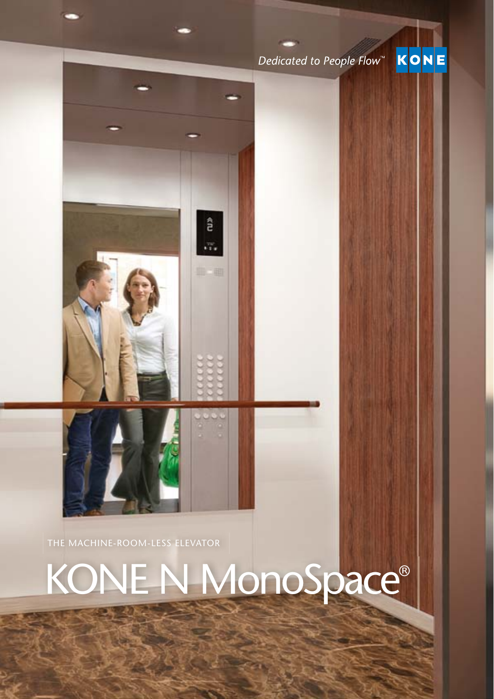## Dedicated to People Flow<sup>™</sup>

KONE



# KONE N MonoSpace®

â

 $\overline{\mathcal{C}}^{\mathcal{C}}_{\mathbf{1},\mathbf{2}}$ 

曲三曲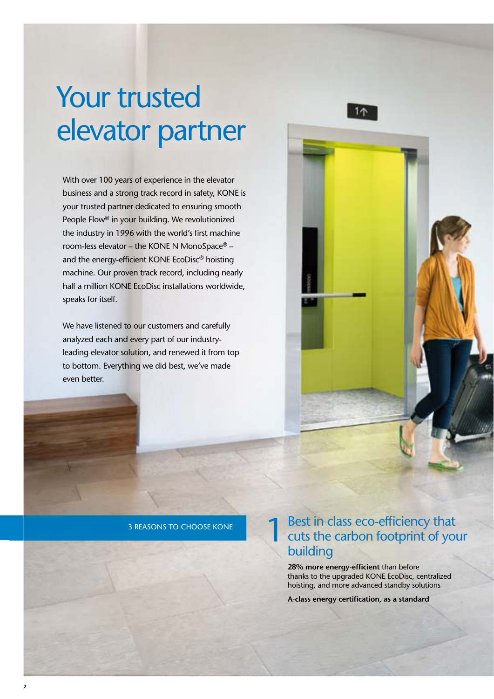## Your trusted elevator partner

With over 100 years of experience in the elevator business and a strong track record in safety, KONE is your trusted partner dedicated to ensuring smooth People Flow® in your building. We revolutionized the industry in 1996 with the world's first machine room-less elevator – the KONE N MonoSpace® – and the energy-efficient KONE EcoDisc® hoisting machine. Our proven track record, including nearly half a million KONE EcoDisc installations worldwide, speaks for itself.

We have listened to our customers and carefully analyzed each and every part of our industryleading elevator solution, and renewed it from top to bottom. Everything we did best, we've made even better.



3 REASONS TO CHOOSE KONE

## **1** Best in class eco-efficiency that<br>cuts the carbon footprint of your building

**28% more energy-efficient** than before thanks to the upgraded KONE EcoDisc, centralized hoisting, and more advanced standby solutions

**A-class energy certification, as a standard**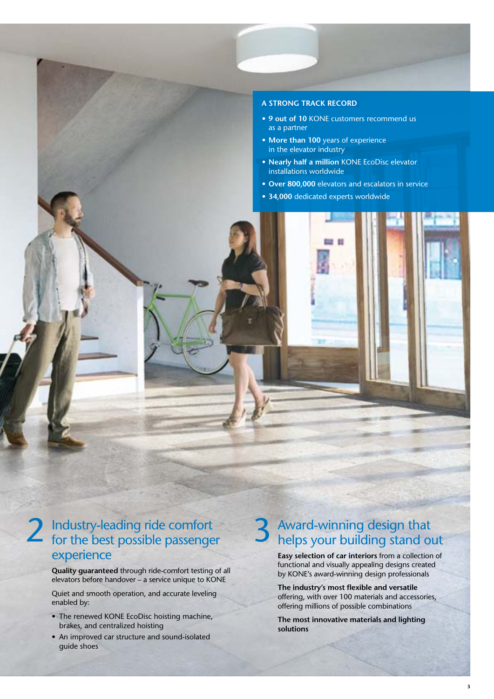#### **A STRONG TRACK RECORD**

- **• 9 out of 10** KONE customers recommend us as a partner
- **• More than 100** years of experience in the elevator industry
- **• Nearly half a million** KONE EcoDisc elevator installations worldwide
- **• Over 800,000** elevators and escalators in service
- **• 34,000** dedicated experts worldwide



**Quality guaranteed** through ride-comfort testing of all elevators before handover – a service unique to KONE

Quiet and smooth operation, and accurate leveling enabled by:

- The renewed KONE EcoDisc hoisting machine, brakes, and centralized hoisting
- An improved car structure and sound-isolated guide shoes

### Award-winning design that helps your building stand out

**Easy selection of car interiors** from a collection of functional and visually appealing designs created by KONE's award-winning design professionals

The industry's most flexible and versatile offering, with over 100 materials and accessories, offering millions of possible combinations

**The most innovative materials and lighting solutions**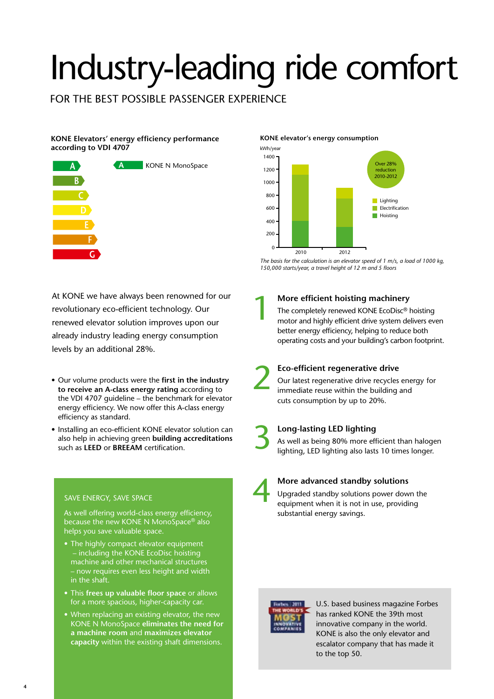# Industry-leading ride comfort

FOR THE BEST POSSIBLE PASSENGER EXPERIENCE

#### KONE Elevators' energy efficiency performance **according to VDI 4707**



#### **KONE elevator's energy consumption**



*The basis for the calculation is an elevator speed of 1 m/s, a load of 1000 kg,*  150,000 starts/year, a travel height of 12 m and 5 floors

At KONE we have always been renowned for our revolutionary eco-efficient technology. Our renewed elevator solution improves upon our already industry leading energy consumption levels by an additional 28%.

- Our volume products were the first in the industry  **to receive an A-class energy rating** according to the VDI 4707 guideline – the benchmark for elevator energy efficiency. We now offer this A-class energy efficiency as standard.
- Installing an eco-efficient KONE elevator solution can also help in achieving green **building accreditations**  such as **LEED** or **BREEAM** certification.

#### SAVE ENERGY, SAVE SPACE

As well offering world-class energy efficiency, because the new KONE N MonoSpace® also helps you save valuable space.

- The highly compact elevator equipment – including the KONE EcoDisc hoisting machine and other mechanical structures – now requires even less height and width in the shaft.
- This frees up valuable floor space or allows for a more spacious, higher-capacity car.
- When replacing an existing elevator, the new KONE N MonoSpace **eliminates the need for a machine room** and **maximizes elevator capacity** within the existing shaft dimensions.

### **More efficient hoisting machinery** 1

The completely renewed KONE EcoDisc® hoisting motor and highly efficient drive system delivers even better energy efficiency, helping to reduce both operating costs and your building's carbon footprint.

# 2

#### **Eco-efficient regenerative drive**

Our latest regenerative drive recycles energy for immediate reuse within the building and cuts consumption by up to 20%.

## **Long-lasting LED lighting**  3

As well as being 80% more efficient than halogen lighting, LED lighting also lasts 10 times longer.

#### **More advanced standby solutions**

Upgraded standby solutions power down the equipment when it is not in use, providing substantial energy savings.



U.S. based business magazine Forbes has ranked KONE the 39th most innovative company in the world. KONE is also the only elevator and escalator company that has made it to the top 50.

<sup>4</sup>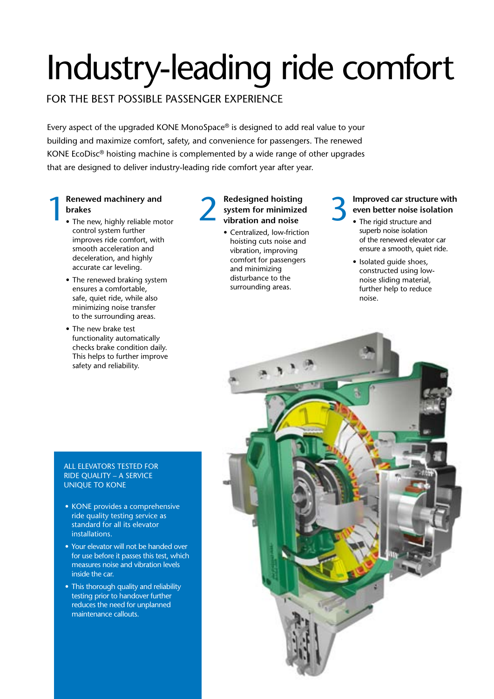# Industry-leading ride comfort

#### FOR THE BEST POSSIBLE PASSENGER EXPERIENCE

Every aspect of the upgraded KONE MonoSpace® is designed to add real value to your building and maximize comfort, safety, and convenience for passengers. The renewed KONE EcoDisc® hoisting machine is complemented by a wide range of other upgrades that are designed to deliver industry-leading ride comfort year after year.

#### **Renewed machinery and brakes**

- The new, highly reliable motor control system further improves ride comfort, with smooth acceleration and deceleration, and highly accurate car leveling.
- The renewed braking system ensures a comfortable, safe, quiet ride, while also minimizing noise transfer to the surrounding areas.
- The new brake test functionality automatically checks brake condition daily. This helps to further improve safety and reliability.

#### **Redesigned hoisting system for minimized vibration and noise** Renewed machinery and<br> **1** Benewed machinery and<br> **1** Redesigned hoisting<br>
system for minimized<br>
vibration and noise<br>
vibration and noise

• Centralized, low-friction hoisting cuts noise and vibration, improving comfort for passengers and minimizing disturbance to the surrounding areas.

#### **Improved car structure with even better noise isolation**

- The rigid structure and superb noise isolation of the renewed elevator car ensure a smooth, quiet ride.
- Isolated guide shoes, constructed using lownoise sliding material, further help to reduce noise.

#### ALL ELEVATORS TESTED FOR RIDE QUALITY – A SERVICE UNIQUE TO KONE

- KONE provides a comprehensive ride quality testing service as standard for all its elevator installations.
- Your elevator will not be handed over for use before it passes this test, which measures noise and vibration levels inside the car.
- This thorough quality and reliability testing prior to handover further reduces the need for unplanned maintenance callouts.

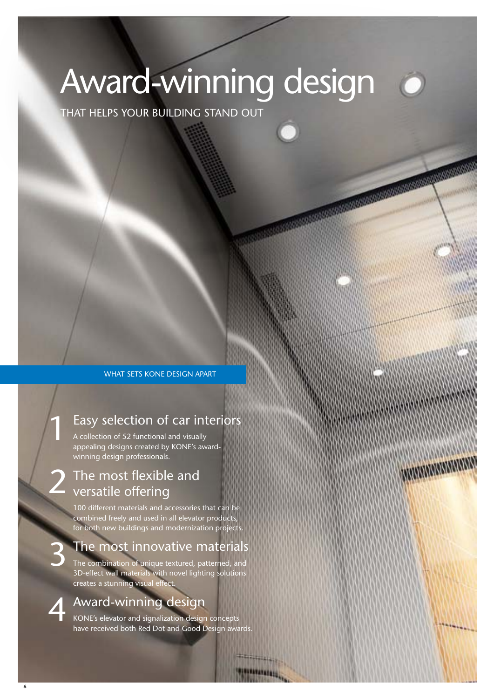# Award-winning design

mammumm

THAT HELPS YOUR BUILDING STAND OUT

WHAT SETS KONE DESIGN APART

### Easy selection of car interiors

A collection of 52 functional and visually appealing designs created by KONE's awardwinning design professionals.

#### The most flexible and versatile offering 2

100 different materials and accessories that can be combined freely and used in all elevator products, for both new buildings and modernization projects.

### The most innovative materials

The combination of unique textured, patterned, and 3D-effect wall materials with novel lighting solutions creates a stunning visual effect.

### Award-winning design 4

KONE's elevator and signalization design concepts have received both Red Dot and Good Design awards.

*VATATAIRES* 

3

1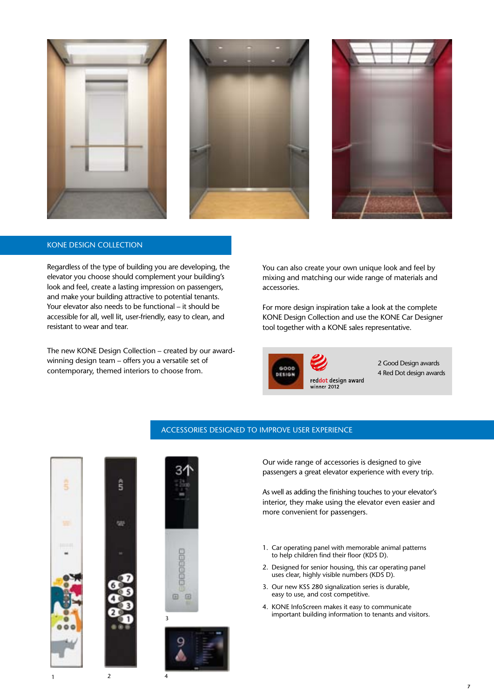





#### KONE DESIGN COLLECTION

Regardless of the type of building you are developing, the elevator you choose should complement your building's look and feel, create a lasting impression on passengers, and make your building attractive to potential tenants. Your elevator also needs to be functional – it should be accessible for all, well lit, user-friendly, easy to clean, and resistant to wear and tear.

The new KONE Design Collection – created by our awardwinning design team – offers you a versatile set of contemporary, themed interiors to choose from.

You can also create your own unique look and feel by mixing and matching our wide range of materials and accessories.

For more design inspiration take a look at the complete KONE Design Collection and use the KONE Car Designer tool together with a KONE sales representative.



2 Good Design awards 4 Red Dot design awards







#### ACCESSORIES DESIGNED TO IMPROVE USER EXPERIENCE

Our wide range of accessories is designed to give passengers a great elevator experience with every trip.

As well as adding the finishing touches to your elevator's interior, they make using the elevator even easier and more convenient for passengers.

- 1. Car operating panel with memorable animal patterns to help children find their floor (KDS D).
- 2. Designed for senior housing, this car operating panel uses clear, highly visible numbers (KDS D).
- 3. Our new KSS 280 signalization series is durable, easy to use, and cost competitive.
- 4. KONE InfoScreen makes it easy to communicate important building information to tenants and visitors.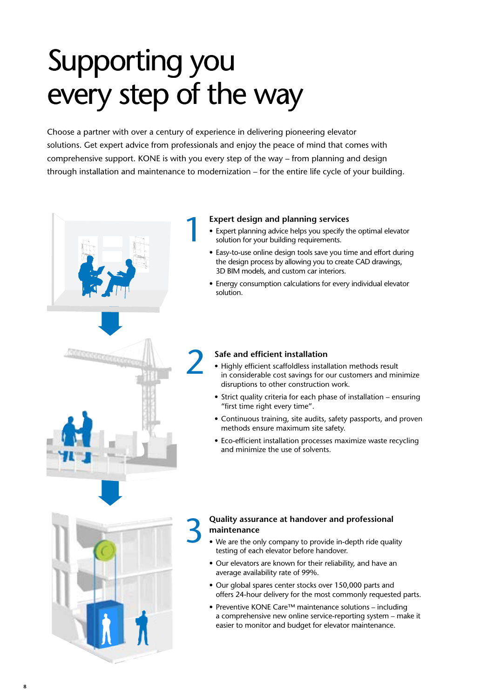## Supporting you every step of the way

Choose a partner with over a century of experience in delivering pioneering elevator solutions. Get expert advice from professionals and enjoy the peace of mind that comes with comprehensive support. KONE is with you every step of the way – from planning and design through installation and maintenance to modernization – for the entire life cycle of your building.



- **Expert design and planning services**<br>• Expert planning advice helps you specify t solution for your building requirements. • Expert planning advice helps you specify the optimal elevator solution for your building requirements.
	- Easy-to-use online design tools save you time and effort during the design process by allowing you to create CAD drawings, 3D BIM models, and custom car interiors.
	- Energy consumption calculations for every individual elevator solution.

#### **Safe and efficient installation**

- Highly efficient scaffoldless installation methods result in considerable cost savings for our customers and minimize disruptions to other construction work.
- Strict quality criteria for each phase of installation ensuring "first time right every time".
- Continuous training, site audits, safety passports, and proven methods ensure maximum site safety.
- Eco-efficient installation processes maximize waste recycling and minimize the use of solvents.

#### **Quality assurance at handover and professional maintenance**

- We are the only company to provide in-depth ride quality testing of each elevator before handover.
- Our elevators are known for their reliability, and have an average availability rate of 99%.
- • Our global spares center stocks over 150,000 parts and offers 24-hour delivery for the most commonly requested parts.
- Preventive KONE Care™ maintenance solutions including a comprehensive new online service-reporting system – make it easier to monitor and budget for elevator maintenance.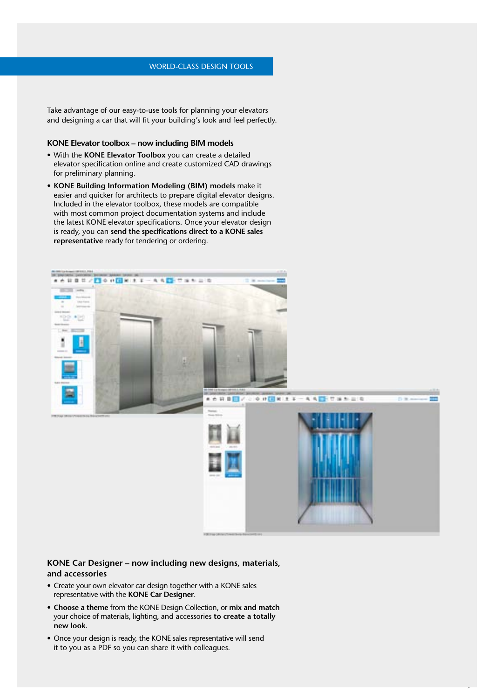Take advantage of our easy-to-use tools for planning your elevators and designing a car that will fit your building's look and feel perfectly.

#### **KONE Elevator toolbox – now including BIM models**

- • With the **KONE Elevator Toolbox** you can create a detailed elevator specification online and create customized CAD drawings for preliminary planning.
- **• KONE Building Information Modeling (BIM) models** make it easier and quicker for architects to prepare digital elevator designs. Included in the elevator toolbox, these models are compatible with most common project documentation systems and include the latest KONE elevator specifications. Once your elevator design is ready, you can **send the specifications direct to a KONE sales representative** ready for tendering or ordering.



**9**

#### **KONE Car Designer – now including new designs, materials, and accessories**

- Create your own elevator car design together with a KONE sales representative with the **KONE Car Designer**.
- **• Choose a theme** from the KONE Design Collection, or **mix and match** your choice of materials, lighting, and accessories **to create a totally new look**.
- Once your design is ready, the KONE sales representative will send it to you as a PDF so you can share it with colleagues.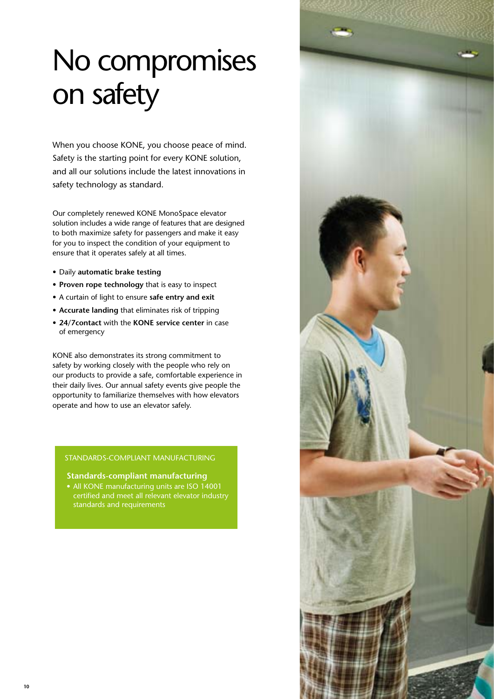## No compromises on safety

When you choose KONE, you choose peace of mind. Safety is the starting point for every KONE solution, and all our solutions include the latest innovations in safety technology as standard.

Our completely renewed KONE MonoSpace elevator solution includes a wide range of features that are designed to both maximize safety for passengers and make it easy for you to inspect the condition of your equipment to ensure that it operates safely at all times.

- • Daily **automatic brake testing**
- **• Proven rope technology** that is easy to inspect
- • A curtain of light to ensure **safe entry and exit**
- **• Accurate landing** that eliminates risk of tripping
- **• 24/7contact** with the **KONE service center** in case of emergency

KONE also demonstrates its strong commitment to safety by working closely with the people who rely on our products to provide a safe, comfortable experience in their daily lives. Our annual safety events give people the opportunity to familiarize themselves with how elevators operate and how to use an elevator safely.

#### STANDARDS-COMPLIANT MANUFACTURING

#### **Standards-compliant manufacturing**

• All KONE manufacturing units are ISO 14001 certified and meet all relevant elevator industry standards and requirements

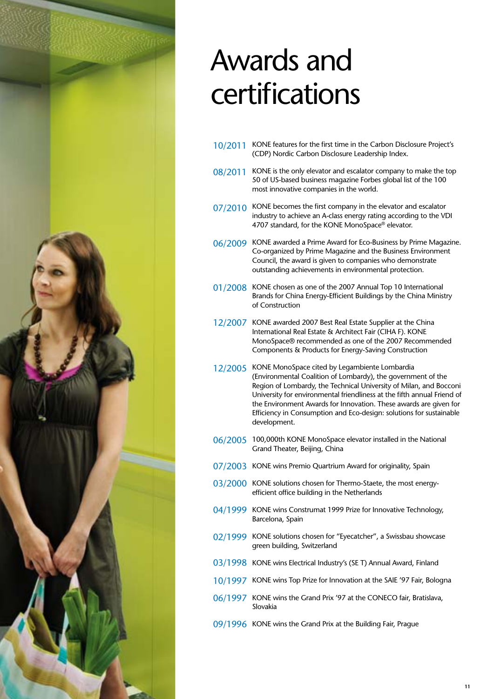

## Awards and certifications

- 10/2011 KONE features for the first time in the Carbon Disclosure Project's (CDP) Nordic Carbon Disclosure Leadership Index.
- 08/2011 KONE is the only elevator and escalator company to make the top 50 of US-based business magazine Forbes global list of the 100 most innovative companies in the world.
- 07/2010 KONE becomes the first company in the elevator and escalator industry to achieve an A-class energy rating according to the VDI 4707 standard, for the KONE MonoSpace<sup>®</sup> elevator.
- 06/2009 KONE awarded a Prime Award for Eco-Business by Prime Magazine. Co-organized by Prime Magazine and the Business Environment Council, the award is given to companies who demonstrate outstanding achievements in environmental protection.
- 01/2008 KONE chosen as one of the 2007 Annual Top 10 International Brands for China Energy-Efficient Buildings by the China Ministry of Construction
- 12/2007 KONE awarded 2007 Best Real Estate Supplier at the China International Real Estate & Architect Fair (CIHA F). KONE MonoSpace® recommended as one of the 2007 Recommended Components & Products for Energy-Saving Construction
- 12/2005 KONE MonoSpace cited by Legambiente Lombardia (Environmental Coalition of Lombardy), the government of the Region of Lombardy, the Technical University of Milan, and Bocconi University for environmental friendliness at the fifth annual Friend of the Environment Awards for Innovation. These awards are given for Efficiency in Consumption and Eco-design: solutions for sustainable development.
- 06/2005 100,000th KONE MonoSpace elevator installed in the National Grand Theater, Beijing, China
- 07/2003 KONE wins Premio Quartrium Award for originality, Spain
- 03/2000 KONE solutions chosen for Thermo-Staete, the most energyefficient office building in the Netherlands
- 04/1999 KONE wins Construmat 1999 Prize for Innovative Technology, Barcelona, Spain
- 02/1999 KONE solutions chosen for "Eyecatcher", a Swissbau showcase green building, Switzerland
- 03/1998 KONE wins Electrical Industry's (SE T) Annual Award, Finland
- 10/1997 KONE wins Top Prize for Innovation at the SAIE '97 Fair, Bologna
- 06/1997 KONE wins the Grand Prix '97 at the CONECO fair, Bratislava, Slovakia
- 09/1996 KONE wins the Grand Prix at the Building Fair, Prague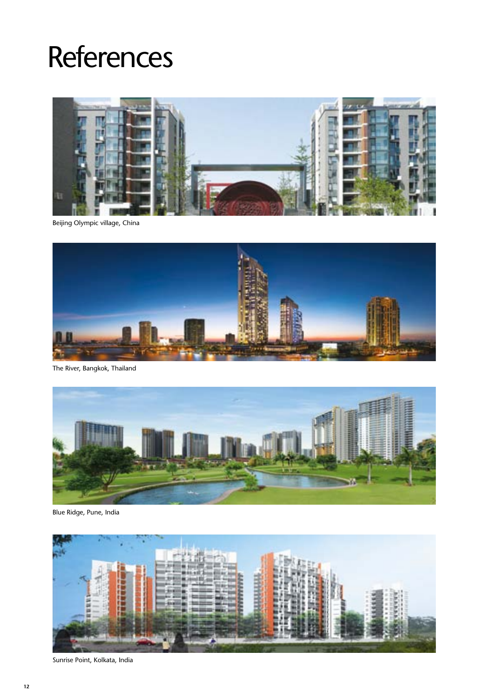## **References**



Beijing Olympic village, China



The River, Bangkok, Thailand



Blue Ridge, Pune, India



Sunrise Point, Kolkata, India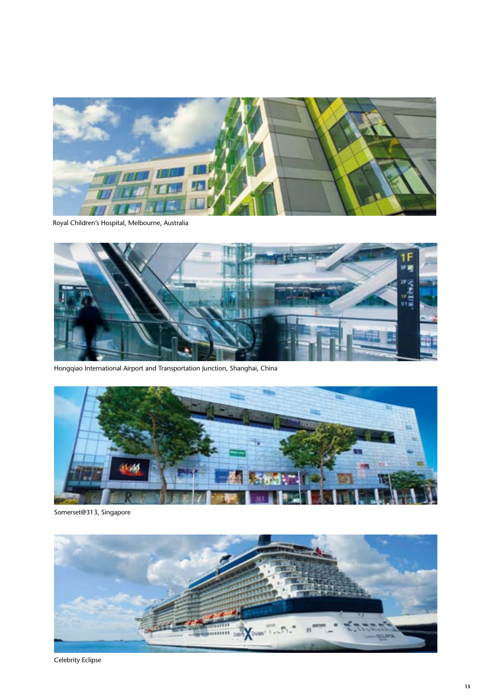

Royal Children's Hospital, Melbourne, Australia



Hongqiao International Airport and Transportation Junction, Shanghai, China



Somerset@313, Singapore



Celebrity Eclipse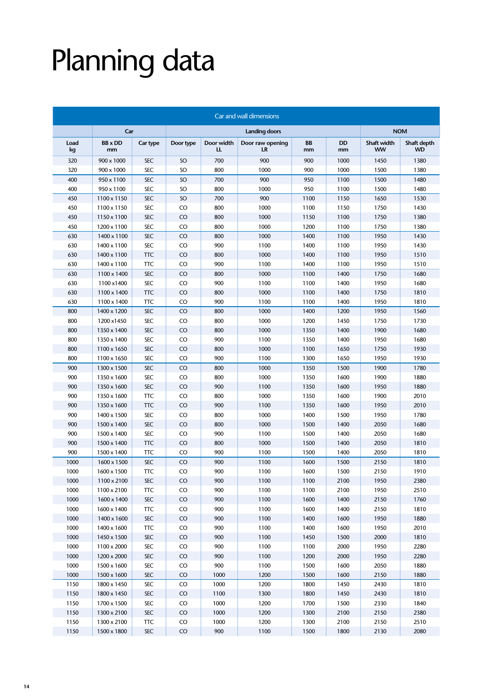# Planning data

| Car and wall dimensions |                      |            |           |                  |                        |                 |                 |                          |                          |  |
|-------------------------|----------------------|------------|-----------|------------------|------------------------|-----------------|-----------------|--------------------------|--------------------------|--|
|                         | Car                  |            |           |                  | <b>NOM</b>             |                 |                 |                          |                          |  |
| Load<br>kg              | <b>BB</b> x DD<br>mm | Car type   | Door type | Door width<br>LL | Door raw opening<br>LR | <b>BB</b><br>mm | <b>DD</b><br>mm | Shaft width<br><b>WW</b> | Shaft depth<br><b>WD</b> |  |
| 320                     | 900 x 1000           | <b>SEC</b> | SO        | 700              | 900                    | 900             | 1000            | 1450                     | 1380                     |  |
| 320                     | 900 x 1000           | <b>SEC</b> | SO        | 800              | 1000                   | 900             | 1000            | 1500                     | 1380                     |  |
| 400                     | 950 x 1100           | <b>SEC</b> | SO        | 700              | 900                    | 950             | 1100            | 1500                     | 1480                     |  |
| 400                     | 950 x 1100           | <b>SEC</b> | SO        | 800              | 1000<br>950            |                 | 1100            | 1500                     | 1480                     |  |
| 450                     | 1100 x 1150          | <b>SEC</b> | SO        | 700              | 900                    | 1100            | 1150            | 1650                     | 1530                     |  |
| 450                     | 1100 x 1150          | SEC        | CO        | 800              | 1000                   | 1100            | 1150            | 1750                     | 1430                     |  |
| 450                     | 1150 x 1100          | <b>SEC</b> | CO        | 800              | 1000                   | 1150            | 1100            | 1750                     | 1380                     |  |
| 450                     | 1200 x 1100          | <b>SEC</b> | CO        | 800              | 1000<br>1200           |                 | 1100            | 1750                     | 1380                     |  |
| 630                     | 1400 x 1100          | <b>SEC</b> | CO        | 800              | 1000                   | 1400            | 1100            | 1950                     | 1430                     |  |
| 630                     | 1400 x 1100          | <b>SEC</b> | CO        | 900              | 1100                   | 1400            | 1100            | 1950                     | 1430                     |  |
| 630                     | 1400 x 1100          | <b>TTC</b> | CO        | 800              | 1000                   | 1400            | 1100            | 1950                     | 1510                     |  |
| 630                     | 1400 x 1100          | <b>TTC</b> | CO        | 900              | 1100                   | 1400            | 1100            | 1950                     | 1510                     |  |
| 630                     | 1100 x 1400          | <b>SEC</b> | CO        | 800              | 1000                   | 1100            | 1400            | 1750                     | 1680                     |  |
| 630                     | 1100 x1400           | <b>SEC</b> | CO        | 900              | 1100                   | 1100            | 1400            | 1950                     | 1680                     |  |
| 630                     | 1100 x 1400          | <b>TTC</b> | CO        | 800              | 1000                   | 1100            | 1400            | 1750                     | 1810                     |  |
| 630                     | 1100 x 1400          | <b>TTC</b> | CO        | 900              | 1100                   | 1100            | 1400            | 1950                     | 1810                     |  |
| 800                     | 1400 x 1200          | <b>SEC</b> | CO        | 800              | 1000                   | 1400            | 1200            | 1950                     | 1560                     |  |
| 800                     | 1200 x1450           | <b>SEC</b> | CO        | 800              | 1000                   | 1200            | 1450            | 1750                     | 1730                     |  |
| 800                     | 1350 x 1400          | <b>SEC</b> | CO        | 800              | 1000                   | 1350            | 1400            | 1900                     | 1680                     |  |
| 800                     | 1350 x 1400          | <b>SEC</b> | CO        | 900              | 1100                   | 1350            | 1400            | 1950                     | 1680                     |  |
| 800                     | 1100 x 1650          | <b>SEC</b> | CO        | 800              | 1000                   | 1100            | 1650            | 1750                     | 1930                     |  |
| 800                     | 1100 x 1650          | <b>SEC</b> | CO        | 900              | 1100                   | 1300            | 1650            | 1950                     | 1930                     |  |
| 900                     | 1300 x 1500          | <b>SEC</b> | CO        | 800              | 1000                   | 1350            | 1500            | 1900                     | 1780                     |  |
| 900                     | 1350 x 1600          | SEC        | CO        | 800              | 1000                   | 1350            | 1600            | 1900                     | 1880                     |  |
| 900                     | 1350 x 1600          | <b>SEC</b> | CO        | 900              | 1100                   | 1350            | 1600            | 1950                     | 1880                     |  |
| 900                     | 1350 x 1600          | <b>TTC</b> | CO        | 800              | 1000                   | 1350            | 1600            | 1900                     | 2010                     |  |
| 900                     | 1350 x 1600          | <b>TTC</b> | CO        | 900              | 1100                   | 1350            | 1600            | 1950                     | 2010                     |  |
| 900                     | 1400 x 1500          | <b>SEC</b> | CO        | 800              | 1000                   | 1400            | 1500            | 1950                     | 1780                     |  |
| 900                     | 1500 x 1400          | <b>SEC</b> | CO        | 800              | 1000                   | 1500            | 1400            | 2050                     | 1680                     |  |
| 900                     | 1500 x 1400          | <b>SEC</b> | CO        | 900              | 1100                   | 1500            | 1400            | 2050                     | 1680                     |  |
| 900                     | 1500 x 1400          | <b>TTC</b> | CO        | 800              | 1000                   | 1500            | 1400            | 2050                     | 1810                     |  |
| 900                     | 1500 x 1400          | <b>TTC</b> | CO        | 900              | 1100                   | 1500            | 1400            | 2050                     | 1810                     |  |
| 1000                    | 1600 x 1500          | <b>SEC</b> | CO        | 900              | 1100                   | 1600            | 1500            | 2150                     | 1810                     |  |
| 1000                    | 1600 x 1500          | TTC        | CO        | 900              | 1100                   | 1600            | 1500            | 2150                     | 1910                     |  |
| 1000                    | 1100 x 2100          | <b>SEC</b> | CO        | 900              | 1100                   | 1100            | 2100            | 1950                     | 2380                     |  |
| 1000                    | 1100 x 2100          | ПC         | CO        | 900              | 1100                   | 1100            | 2100            | 1950                     | 2510                     |  |
| 1000                    | 1600 x 1400          | <b>SEC</b> | CO        | 900              | 1100                   | 1600            | 1400            | 2150                     | 1760                     |  |
| 1000                    | 1600 x 1400          | ПC         | CO        | 900              | 1100                   | 1600            | 1400            | 2150                     | 1810                     |  |
| 1000                    | 1400 x 1600          | SEC        | $\rm CO$  | 900              | 1100                   | 1400            | 1600            | 1950                     | 1880                     |  |
| 1000                    | 1400 x 1600          | ПC         | CO        | 900              | 1100                   | 1400            | 1600            | 1950                     | 2010                     |  |
| 1000                    | 1450 x 1500          | SEC        | $\rm CO$  | 900              | 1100                   | 1450            | 1500            | 2000                     | 1810                     |  |
| 1000                    | 1100 x 2000          | SEC        | CO        | 900              | 1100                   | 1100            | 2000            | 1950                     | 2280                     |  |
| 1000                    | 1200 x 2000          | SEC        | CO        | 900              | 1100                   | 1200            | 2000            | 1950                     | 2280                     |  |
| 1000                    | 1500 x 1600          | SEC        | CO        | 900              | 1100                   | 1500            | 1600            | 2050                     | 1880                     |  |
| 1000                    | 1500 x 1600          | <b>SEC</b> | CO        | 1000             | 1200                   | 1500            | 1600            | 2150                     | 1880                     |  |
| 1150                    | 1800 x 1450          | SEC        | CO        | 1000             | 1200                   | 1800            | 1450            | 2430                     | 1810                     |  |
| 1150                    | 1800 x 1450          | SEC        | CO        | 1100             | 1300                   | 1800            | 1450            | 2430                     | 1810                     |  |
| 1150                    | 1700 x 1500          | SEC        | CO        | 1000             | 1200                   | 1700            | 1500            | 2330                     | 1840                     |  |
| 1150                    | 1300 x 2100          | SEC        | CO        | 1000             | 1200                   | 1300            | 2100            | 2150                     | 2380                     |  |
| 1150                    | 1300 x 2100          | <b>TTC</b> | CO        | 1000             | 1200                   | 1300            | 2100            | 2150                     | 2510                     |  |
| 1150                    | 1500 x 1800          | SEC        | CO        | 900              | 1100                   | 1500            | 1800            | 2130                     | 2080                     |  |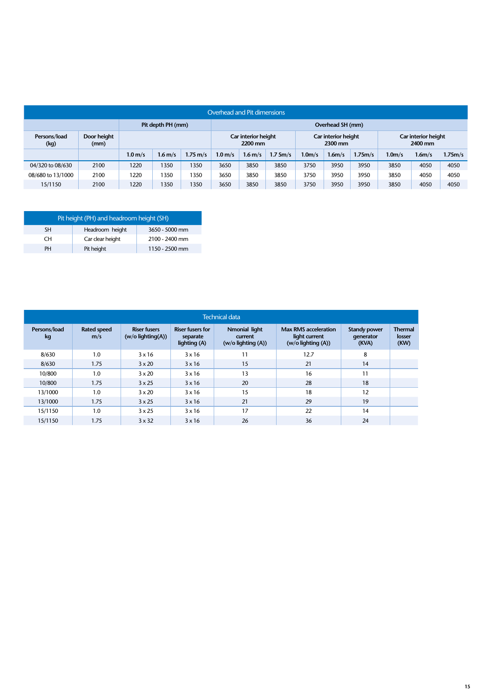| Overhead and Pit dimensions |                     |                    |           |                                |                    |                                |         |                                |                    |         |                    |        |         |
|-----------------------------|---------------------|--------------------|-----------|--------------------------------|--------------------|--------------------------------|---------|--------------------------------|--------------------|---------|--------------------|--------|---------|
|                             |                     | Pit depth PH (mm)  |           |                                | Overhead SH (mm)   |                                |         |                                |                    |         |                    |        |         |
| Persons/load<br>(kg)        | Door height<br>(mm) |                    |           | Car interior height<br>2200 mm |                    | Car interior height<br>2300 mm |         | Car interior height<br>2400 mm |                    |         |                    |        |         |
|                             |                     | 1.0 <sub>m/s</sub> | $1.6$ m/s | 1.75 m/s                       | 1.0 <sub>m/s</sub> | $1.6$ m/s                      | 1.75m/s | 1.0 <sub>m/s</sub>             | 1.6 <sub>m/s</sub> | 1.75m/s | 1.0 <sub>m/s</sub> | 1.6m/s | 1.75m/s |
| 04/320 to 08/630            | 2100                | 1220               | 1350      | 1350                           | 3650               | 3850                           | 3850    | 3750                           | 3950               | 3950    | 3850               | 4050   | 4050    |
| 08/680 to 13/1000           | 2100                | 1220               | 1350      | 1350                           | 3650               | 3850                           | 3850    | 3750                           | 3950               | 3950    | 3850               | 4050   | 4050    |
| 15/1150                     | 2100                | 1220               | 1350      | 1350                           | 3650               | 3850                           | 3850    | 3750                           | 3950               | 3950    | 3850               | 4050   | 4050    |

| Pit height (PH) and headroom height (SH) |                  |                |  |  |  |  |  |
|------------------------------------------|------------------|----------------|--|--|--|--|--|
| SΗ                                       | Headroom height  | 3650 - 5000 mm |  |  |  |  |  |
| CΗ                                       | Car clear height | 2100 - 2400 mm |  |  |  |  |  |
| PH                                       | Pit height       | 1150 - 2500 mm |  |  |  |  |  |

| <b>Technical data</b> |                           |                                            |                                                     |                                                    |                                                                        |                                           |                                  |  |  |  |  |
|-----------------------|---------------------------|--------------------------------------------|-----------------------------------------------------|----------------------------------------------------|------------------------------------------------------------------------|-------------------------------------------|----------------------------------|--|--|--|--|
| Persons/load<br>kg    | <b>Rated speed</b><br>m/s | <b>Riser fusers</b><br>$(w/o$ lighting(A)) | <b>Riser fusers for</b><br>separate<br>lighting (A) | Nmonial light<br>current<br>$(w/o$ lighting $(A))$ | <b>Max RMS acceleration</b><br>light current<br>$(w/o$ lighting $(A))$ | <b>Standy power</b><br>qenerator<br>(KVA) | <b>Thermal</b><br>losser<br>(KW) |  |  |  |  |
| 8/630                 | 1.0                       | $3 \times 16$                              | $3 \times 16$                                       | 11                                                 | 12.7                                                                   | 8                                         |                                  |  |  |  |  |
| 8/630                 | 1.75                      | $3 \times 20$                              | $3 \times 16$                                       | 15                                                 | 21                                                                     | 14                                        |                                  |  |  |  |  |
| 10/800                | 1.0                       | $3 \times 20$                              | $3 \times 16$                                       | 13                                                 | 16                                                                     | 11                                        |                                  |  |  |  |  |
| 10/800                | 1.75                      | $3 \times 25$                              | 3x16                                                | 20                                                 | 28                                                                     | 18                                        |                                  |  |  |  |  |
| 13/1000               | 1.0                       | $3 \times 20$                              | 3x16                                                | 15                                                 | 18                                                                     | 12                                        |                                  |  |  |  |  |
| 13/1000               | 1.75                      | $3 \times 25$                              | 3x16                                                | 21                                                 | 29                                                                     | 19                                        |                                  |  |  |  |  |
| 15/1150               | 1.0                       | $3 \times 25$                              | 3x16                                                | 17                                                 | 22                                                                     | 14                                        |                                  |  |  |  |  |
| 15/1150               | 1.75                      | $3 \times 32$                              | 3x16                                                | 26                                                 | 36                                                                     | 24                                        |                                  |  |  |  |  |